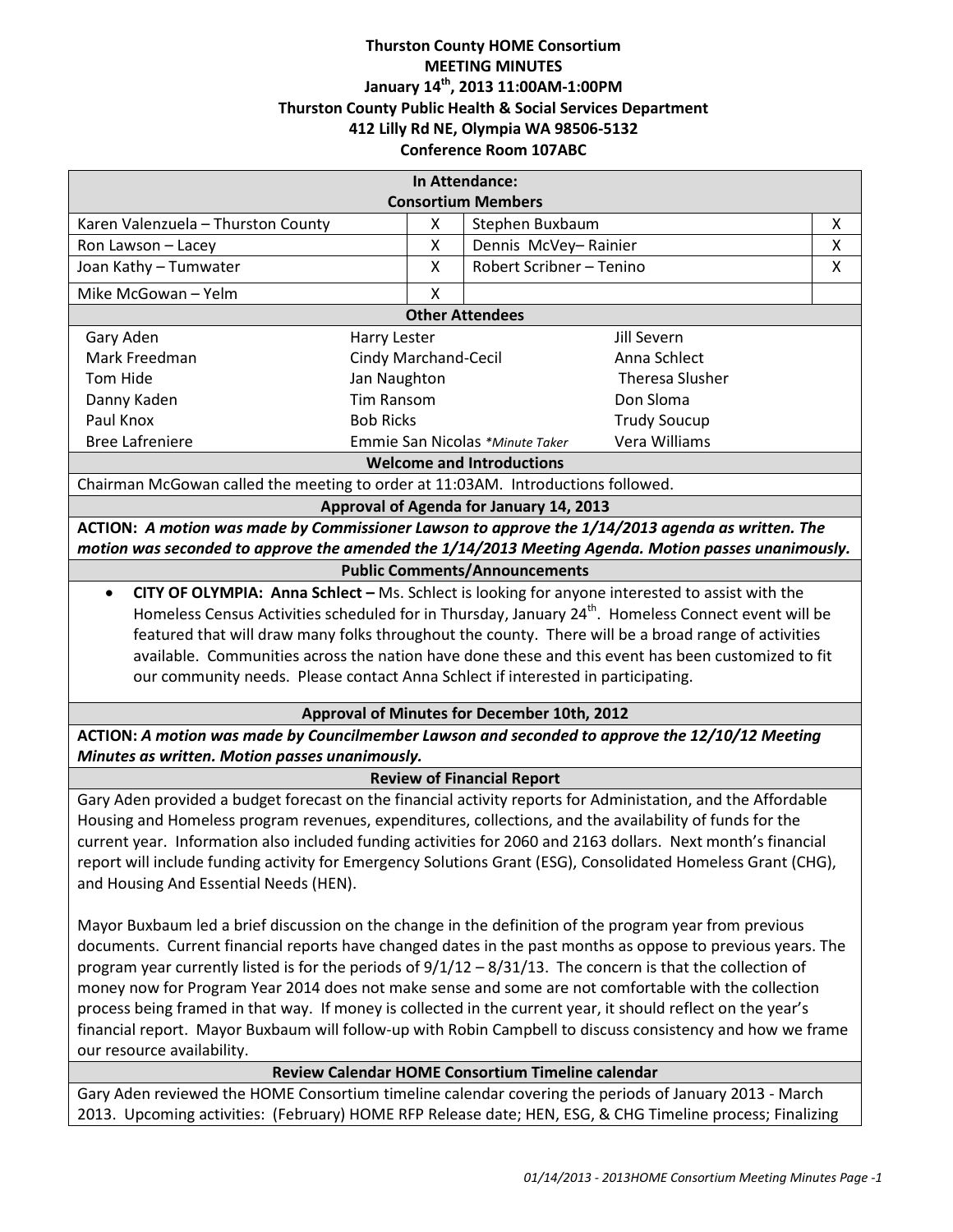# **Thurston County HOME Consortium MEETING MINUTES January 14th, 2013 11:00AM-1:00PM Thurston County Public Health & Social Services Department 412 Lilly Rd NE, Olympia WA 98506-5132 Conference Room 107ABC**

| In Attendance:                                                                                                  |                                                  |                          |                        |   |
|-----------------------------------------------------------------------------------------------------------------|--------------------------------------------------|--------------------------|------------------------|---|
| <b>Consortium Members</b>                                                                                       |                                                  |                          |                        |   |
| Karen Valenzuela - Thurston County                                                                              | X                                                | Stephen Buxbaum          |                        | X |
| Ron Lawson - Lacey                                                                                              | Χ                                                | Dennis McVey-Rainier     |                        | X |
| Joan Kathy - Tumwater                                                                                           | X                                                | Robert Scribner - Tenino |                        | X |
| Mike McGowan - Yelm                                                                                             | X                                                |                          |                        |   |
| <b>Other Attendees</b>                                                                                          |                                                  |                          |                        |   |
| Gary Aden                                                                                                       | <b>Harry Lester</b>                              |                          | <b>Jill Severn</b>     |   |
| Mark Freedman                                                                                                   | Cindy Marchand-Cecil                             |                          | Anna Schlect           |   |
| Tom Hide                                                                                                        | Jan Naughton                                     |                          | <b>Theresa Slusher</b> |   |
| Danny Kaden                                                                                                     | <b>Tim Ransom</b>                                |                          | Don Sloma              |   |
| Paul Knox                                                                                                       | <b>Bob Ricks</b>                                 |                          | <b>Trudy Soucup</b>    |   |
| <b>Bree Lafreniere</b>                                                                                          | Vera Williams<br>Emmie San Nicolas *Minute Taker |                          |                        |   |
| <b>Welcome and Introductions</b>                                                                                |                                                  |                          |                        |   |
| Chairman McGowan called the meeting to order at 11:03AM. Introductions followed.                                |                                                  |                          |                        |   |
| Approval of Agenda for January 14, 2013                                                                         |                                                  |                          |                        |   |
| ACTION: A motion was made by Commissioner Lawson to approve the 1/14/2013 agenda as written. The                |                                                  |                          |                        |   |
| motion was seconded to approve the amended the 1/14/2013 Meeting Agenda. Motion passes unanimously.             |                                                  |                          |                        |   |
| <b>Public Comments/Announcements</b>                                                                            |                                                  |                          |                        |   |
| CITY OF OLYMPIA: Anna Schlect - Ms. Schlect is looking for anyone interested to assist with the                 |                                                  |                          |                        |   |
| Homeless Census Activities scheduled for in Thursday, January 24 <sup>th</sup> . Homeless Connect event will be |                                                  |                          |                        |   |
| featured that will draw many folks throughout the county. There will be a broad range of activities             |                                                  |                          |                        |   |
| available. Communities across the nation have done these and this event has been customized to fit              |                                                  |                          |                        |   |
| our community needs. Please contact Anna Schlect if interested in participating.                                |                                                  |                          |                        |   |
| Approval of Minutes for December 10th, 2012                                                                     |                                                  |                          |                        |   |
| ACTION: A motion was made by Councilmember Lawson and seconded to approve the 12/10/12 Meeting                  |                                                  |                          |                        |   |
| Minutes as written. Motion passes unanimously.                                                                  |                                                  |                          |                        |   |
| <b>Review of Financial Report</b>                                                                               |                                                  |                          |                        |   |
| Gary Aden provided a budget forecast on the financial activity reports for Administation, and the Affordable    |                                                  |                          |                        |   |
| Housing and Homeless program revenues, expenditures, collections, and the availability of funds for the         |                                                  |                          |                        |   |
| current year. Information also included funding activities for 2060 and 2163 dollars. Next month's financial    |                                                  |                          |                        |   |
| report will include funding activity for Emergency Solutions Grant (ESG), Consolidated Homeless Grant (CHG),    |                                                  |                          |                        |   |
| and Housing And Essential Needs (HEN).                                                                          |                                                  |                          |                        |   |
| Mayor Buxbaum led a brief discussion on the change in the definition of the program year from previous          |                                                  |                          |                        |   |
| documents. Current financial reports have changed dates in the past months as oppose to previous years. The     |                                                  |                          |                        |   |
| program year currently listed is for the periods of $9/1/12 - 8/31/13$ . The concern is that the collection of  |                                                  |                          |                        |   |
| money now for Program Year 2014 does not make sense and some are not comfortable with the collection            |                                                  |                          |                        |   |
| process being framed in that way. If money is collected in the current year, it should reflect on the year's    |                                                  |                          |                        |   |
| financial report. Mayor Buxbaum will follow-up with Robin Campbell to discuss consistency and how we frame      |                                                  |                          |                        |   |
| our resource availability.                                                                                      |                                                  |                          |                        |   |
| Review Calendar HOME Consortium Timeline calendar                                                               |                                                  |                          |                        |   |
| Gary Aden reviewed the HOME Consortium timeline calendar covering the periods of January 2013 - March           |                                                  |                          |                        |   |
| 2013. Upcoming activities: (February) HOME RFP Release date; HEN, ESG, & CHG Timeline process; Finalizing       |                                                  |                          |                        |   |
|                                                                                                                 |                                                  |                          |                        |   |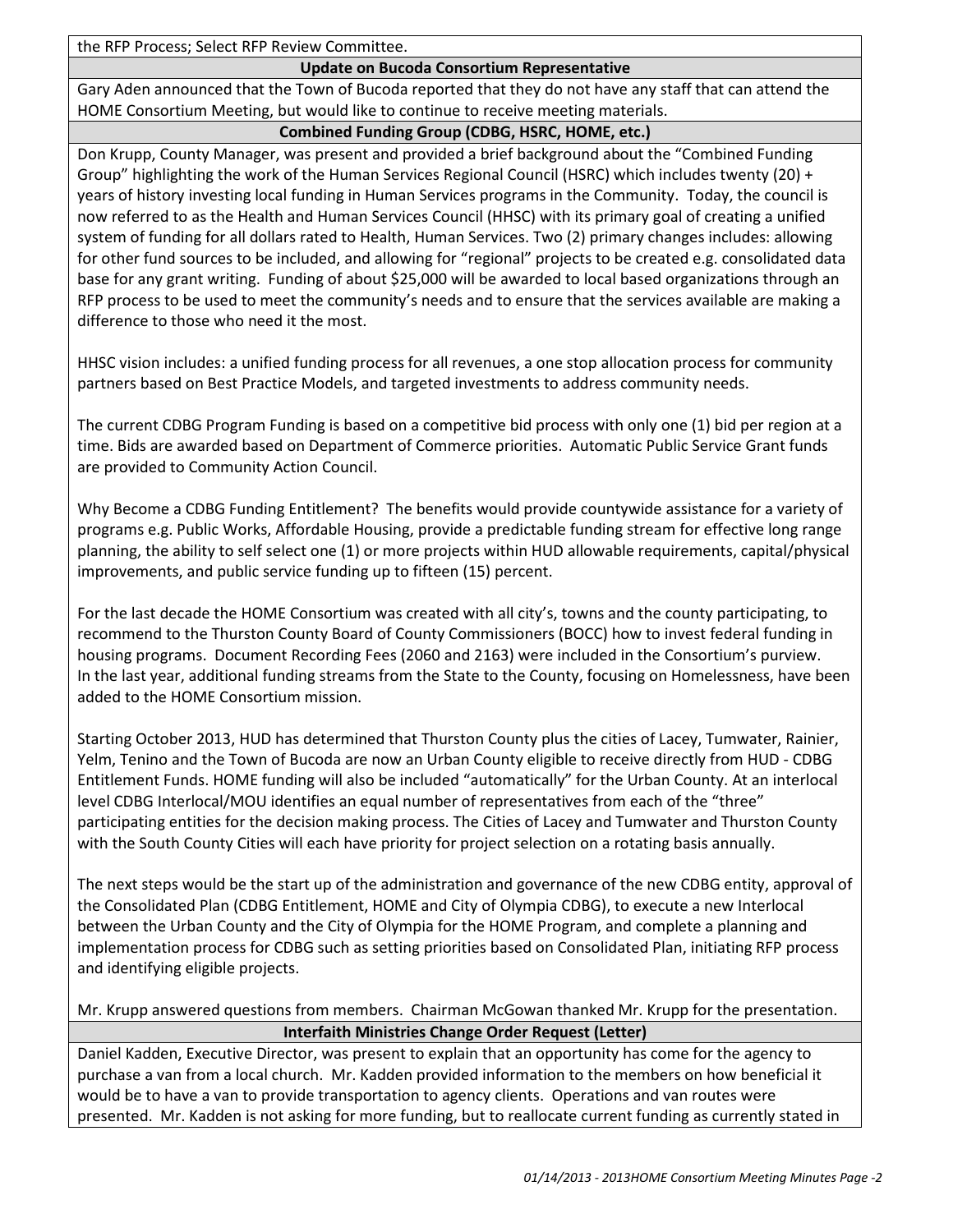the RFP Process; Select RFP Review Committee.

# **Update on Bucoda Consortium Representative**

Gary Aden announced that the Town of Bucoda reported that they do not have any staff that can attend the HOME Consortium Meeting, but would like to continue to receive meeting materials.

# **Combined Funding Group (CDBG, HSRC, HOME, etc.)**

Don Krupp, County Manager, was present and provided a brief background about the "Combined Funding Group" highlighting the work of the Human Services Regional Council (HSRC) which includes twenty (20) + years of history investing local funding in Human Services programs in the Community. Today, the council is now referred to as the Health and Human Services Council (HHSC) with its primary goal of creating a unified system of funding for all dollars rated to Health, Human Services. Two (2) primary changes includes: allowing for other fund sources to be included, and allowing for "regional" projects to be created e.g. consolidated data base for any grant writing. Funding of about \$25,000 will be awarded to local based organizations through an RFP process to be used to meet the community's needs and to ensure that the services available are making a difference to those who need it the most.

HHSC vision includes: a unified funding process for all revenues, a one stop allocation process for community partners based on Best Practice Models, and targeted investments to address community needs.

The current CDBG Program Funding is based on a competitive bid process with only one (1) bid per region at a time. Bids are awarded based on Department of Commerce priorities. Automatic Public Service Grant funds are provided to Community Action Council.

Why Become a CDBG Funding Entitlement? The benefits would provide countywide assistance for a variety of programs e.g. Public Works, Affordable Housing, provide a predictable funding stream for effective long range planning, the ability to self select one (1) or more projects within HUD allowable requirements, capital/physical improvements, and public service funding up to fifteen (15) percent.

For the last decade the HOME Consortium was created with all city's, towns and the county participating, to recommend to the Thurston County Board of County Commissioners (BOCC) how to invest federal funding in housing programs. Document Recording Fees (2060 and 2163) were included in the Consortium's purview. In the last year, additional funding streams from the State to the County, focusing on Homelessness, have been added to the HOME Consortium mission.

Starting October 2013, HUD has determined that Thurston County plus the cities of Lacey, Tumwater, Rainier, Yelm, Tenino and the Town of Bucoda are now an Urban County eligible to receive directly from HUD - CDBG Entitlement Funds. HOME funding will also be included "automatically" for the Urban County. At an interlocal level CDBG Interlocal/MOU identifies an equal number of representatives from each of the "three" participating entities for the decision making process. The Cities of Lacey and Tumwater and Thurston County with the South County Cities will each have priority for project selection on a rotating basis annually.

The next steps would be the start up of the administration and governance of the new CDBG entity, approval of the Consolidated Plan (CDBG Entitlement, HOME and City of Olympia CDBG), to execute a new Interlocal between the Urban County and the City of Olympia for the HOME Program, and complete a planning and implementation process for CDBG such as setting priorities based on Consolidated Plan, initiating RFP process and identifying eligible projects.

Mr. Krupp answered questions from members. Chairman McGowan thanked Mr. Krupp for the presentation. **Interfaith Ministries Change Order Request (Letter)**

Daniel Kadden, Executive Director, was present to explain that an opportunity has come for the agency to purchase a van from a local church. Mr. Kadden provided information to the members on how beneficial it would be to have a van to provide transportation to agency clients. Operations and van routes were presented. Mr. Kadden is not asking for more funding, but to reallocate current funding as currently stated in